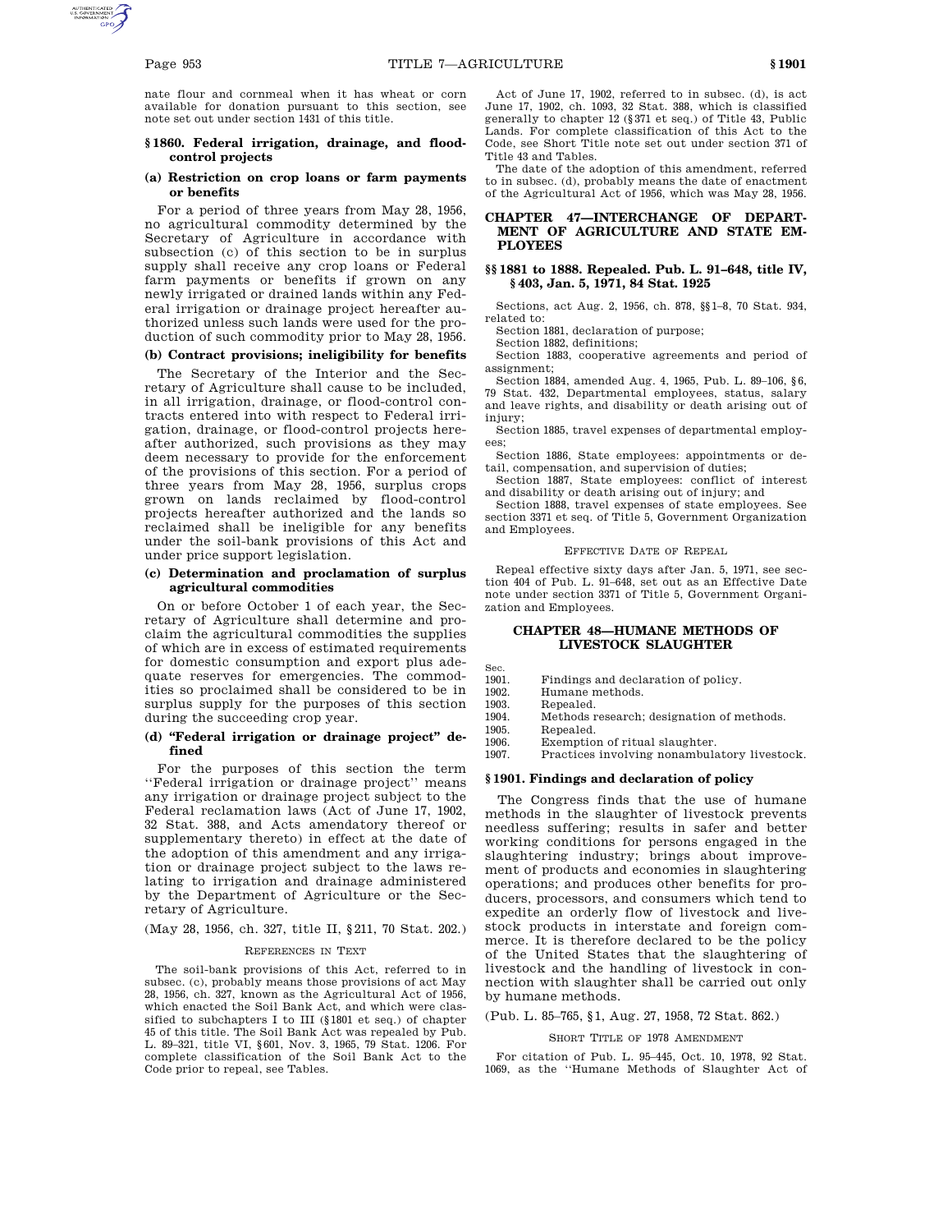nate flour and cornmeal when it has wheat or corn available for donation pursuant to this section, see note set out under section 1431 of this title.

# **§ 1860. Federal irrigation, drainage, and floodcontrol projects**

# **(a) Restriction on crop loans or farm payments or benefits**

For a period of three years from May 28, 1956, no agricultural commodity determined by the Secretary of Agriculture in accordance with subsection (c) of this section to be in surplus supply shall receive any crop loans or Federal farm payments or benefits if grown on any newly irrigated or drained lands within any Federal irrigation or drainage project hereafter authorized unless such lands were used for the production of such commodity prior to May 28, 1956.

# **(b) Contract provisions; ineligibility for benefits**

The Secretary of the Interior and the Secretary of Agriculture shall cause to be included, in all irrigation, drainage, or flood-control contracts entered into with respect to Federal irrigation, drainage, or flood-control projects hereafter authorized, such provisions as they may deem necessary to provide for the enforcement of the provisions of this section. For a period of three years from May 28, 1956, surplus crops grown on lands reclaimed by flood-control projects hereafter authorized and the lands so reclaimed shall be ineligible for any benefits under the soil-bank provisions of this Act and under price support legislation.

# **(c) Determination and proclamation of surplus agricultural commodities**

On or before October 1 of each year, the Secretary of Agriculture shall determine and proclaim the agricultural commodities the supplies of which are in excess of estimated requirements for domestic consumption and export plus adequate reserves for emergencies. The commodities so proclaimed shall be considered to be in surplus supply for the purposes of this section during the succeeding crop year.

# **(d) ''Federal irrigation or drainage project'' defined**

For the purposes of this section the term ''Federal irrigation or drainage project'' means any irrigation or drainage project subject to the Federal reclamation laws (Act of June 17, 1902, 32 Stat. 388, and Acts amendatory thereof or supplementary thereto) in effect at the date of the adoption of this amendment and any irrigation or drainage project subject to the laws relating to irrigation and drainage administered by the Department of Agriculture or the Secretary of Agriculture.

(May 28, 1956, ch. 327, title II, §211, 70 Stat. 202.)

## REFERENCES IN TEXT

The soil-bank provisions of this Act, referred to in subsec. (c), probably means those provisions of act May 28, 1956, ch. 327, known as the Agricultural Act of 1956, which enacted the Soil Bank Act, and which were classified to subchapters I to III (§1801 et seq.) of chapter 45 of this title. The Soil Bank Act was repealed by Pub. L. 89–321, title VI, §601, Nov. 3, 1965, 79 Stat. 1206. For complete classification of the Soil Bank Act to the Code prior to repeal, see Tables.

Act of June 17, 1902, referred to in subsec. (d), is act June 17, 1902, ch. 1093, 32 Stat. 388, which is classified generally to chapter 12 (§371 et seq.) of Title 43, Public Lands. For complete classification of this Act to the Code, see Short Title note set out under section 371 of Title 43 and Tables.

The date of the adoption of this amendment, referred to in subsec. (d), probably means the date of enactment of the Agricultural Act of 1956, which was May 28, 1956.

# **CHAPTER 47—INTERCHANGE OF DEPART-MENT OF AGRICULTURE AND STATE EM-PLOYEES**

# **§§ 1881 to 1888. Repealed. Pub. L. 91–648, title IV, § 403, Jan. 5, 1971, 84 Stat. 1925**

Sections, act Aug. 2, 1956, ch. 878, §§1–8, 70 Stat. 934, related to:

Section 1881, declaration of purpose;

Section 1882, definitions;

Section 1883, cooperative agreements and period of assignment;

Section 1884, amended Aug. 4, 1965, Pub. L. 89–106, §6, 79 Stat. 432, Departmental employees, status, salary and leave rights, and disability or death arising out of injury;

Section 1885, travel expenses of departmental employees;

Section 1886, State employees: appointments or detail, compensation, and supervision of duties;

Section 1887, State employees: conflict of interest and disability or death arising out of injury; and

Section 1888, travel expenses of state employees. See section 3371 et seq. of Title 5, Government Organization and Employees.

#### EFFECTIVE DATE OF REPEAL

Repeal effective sixty days after Jan. 5, 1971, see section 404 of Pub. L. 91–648, set out as an Effective Date note under section 3371 of Title 5, Government Organization and Employees.

# **CHAPTER 48—HUMANE METHODS OF LIVESTOCK SLAUGHTER**

Sec.

1901. Findings and declaration of policy.

1902. Humane methods.

1903. Repealed.<br>1904. Methods r

Methods research; designation of methods.

1905. Repealed.<br>1906 Exemptio

1906. Exemption of ritual slaughter.<br>1907. Practices involving nonambula Practices involving nonambulatory livestock.

## **§ 1901. Findings and declaration of policy**

The Congress finds that the use of humane methods in the slaughter of livestock prevents needless suffering; results in safer and better working conditions for persons engaged in the slaughtering industry; brings about improvement of products and economies in slaughtering operations; and produces other benefits for producers, processors, and consumers which tend to expedite an orderly flow of livestock and livestock products in interstate and foreign commerce. It is therefore declared to be the policy of the United States that the slaughtering of livestock and the handling of livestock in connection with slaughter shall be carried out only by humane methods.

(Pub. L. 85–765, §1, Aug. 27, 1958, 72 Stat. 862.)

### SHORT TITLE OF 1978 AMENDMENT

For citation of Pub. L. 95–445, Oct. 10, 1978, 92 Stat. 1069, as the ''Humane Methods of Slaughter Act of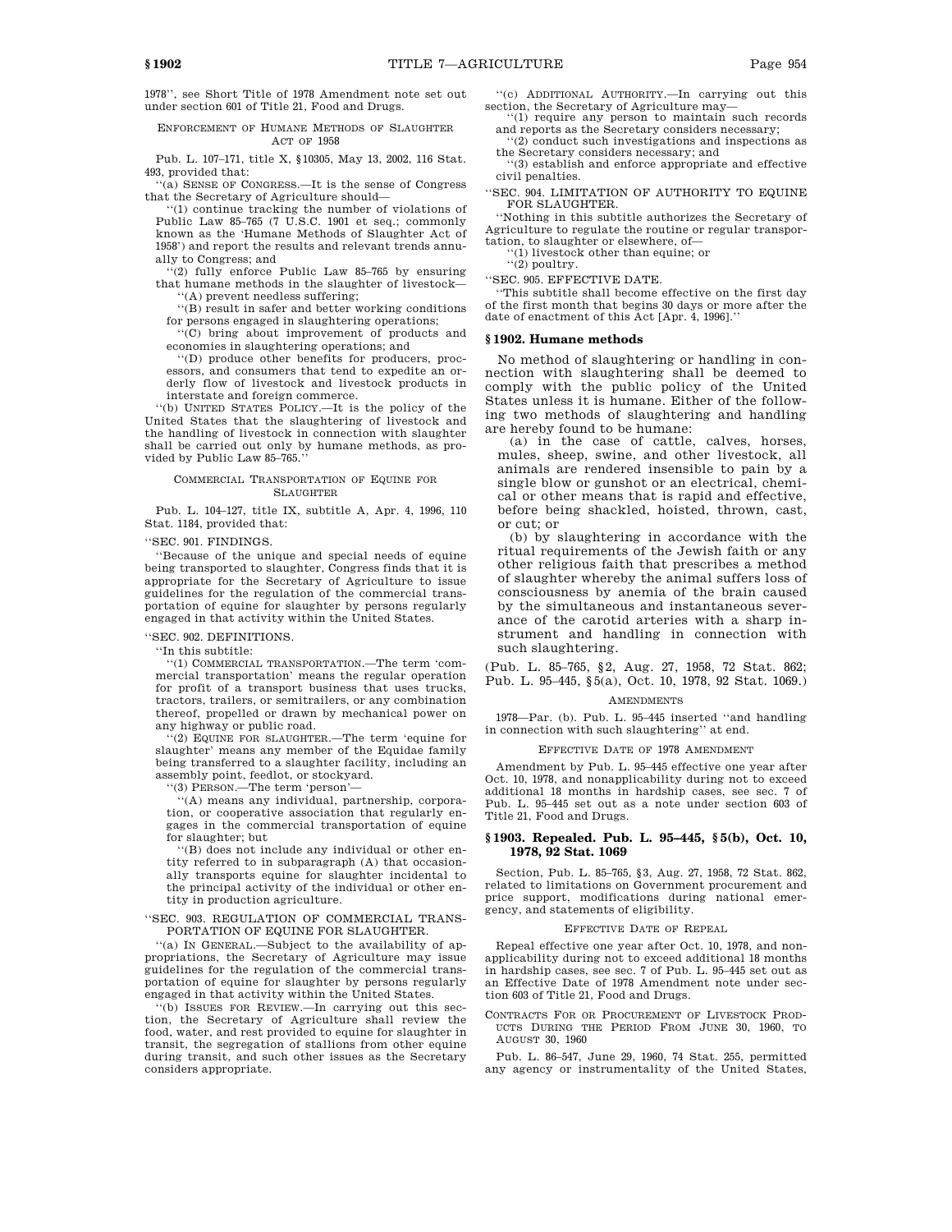1978'', see Short Title of 1978 Amendment note set out under section 601 of Title 21, Food and Drugs.

## ENFORCEMENT OF HUMANE METHODS OF SLAUGHTER ACT OF 1958

Pub. L. 107–171, title X, §10305, May 13, 2002, 116 Stat. 493, provided that:

''(a) SENSE OF CONGRESS.—It is the sense of Congress that the Secretary of Agriculture should—

(1) continue tracking the number of violations of Public Law 85–765 (7 U.S.C. 1901 et seq.; commonly known as the 'Humane Methods of Slaughter Act of 1958') and report the results and relevant trends annually to Congress; and

 $\frac{1}{2}$  fully enforce Public Law 85-765 by ensuring that humane methods in the slaughter of livestock— ''(A) prevent needless suffering;

''(B) result in safer and better working conditions for persons engaged in slaughtering operations;

''(C) bring about improvement of products and economies in slaughtering operations; and

''(D) produce other benefits for producers, processors, and consumers that tend to expedite an orderly flow of livestock and livestock products in interstate and foreign commerce.

''(b) UNITED STATES POLICY.—It is the policy of the United States that the slaughtering of livestock and the handling of livestock in connection with slaughter shall be carried out only by humane methods, as provided by Public Law 85–765.''

#### COMMERCIAL TRANSPORTATION OF EQUINE FOR SLAUGHTER

Pub. L. 104–127, title IX, subtitle A, Apr. 4, 1996, 110 Stat. 1184, provided that:

''SEC. 901. FINDINGS.

''Because of the unique and special needs of equine being transported to slaughter, Congress finds that it is appropriate for the Secretary of Agriculture to issue guidelines for the regulation of the commercial transportation of equine for slaughter by persons regularly engaged in that activity within the United States.

### ''SEC. 902. DEFINITIONS.

''In this subtitle:

''(1) COMMERCIAL TRANSPORTATION.—The term 'commercial transportation' means the regular operation for profit of a transport business that uses trucks, tractors, trailers, or semitrailers, or any combination thereof, propelled or drawn by mechanical power on any highway or public road.

''(2) EQUINE FOR SLAUGHTER.—The term 'equine for slaughter' means any member of the Equidae family being transferred to a slaughter facility, including an assembly point, feedlot, or stockyard.

''(3) PERSON.—The term 'person'—

''(A) means any individual, partnership, corporation, or cooperative association that regularly engages in the commercial transportation of equine for slaughter; but

''(B) does not include any individual or other entity referred to in subparagraph (A) that occasionally transports equine for slaughter incidental to the principal activity of the individual or other entity in production agriculture.

''SEC. 903. REGULATION OF COMMERCIAL TRANS-PORTATION OF EQUINE FOR SLAUGHTER.

''(a) IN GENERAL.—Subject to the availability of appropriations, the Secretary of Agriculture may issue guidelines for the regulation of the commercial transportation of equine for slaughter by persons regularly engaged in that activity within the United States.

''(b) ISSUES FOR REVIEW.—In carrying out this section, the Secretary of Agriculture shall review the food, water, and rest provided to equine for slaughter in transit, the segregation of stallions from other equine during transit, and such other issues as the Secretary considers appropriate.

''(c) ADDITIONAL AUTHORITY.—In carrying out this section, the Secretary of Agriculture may—

''(1) require any person to maintain such records and reports as the Secretary considers necessary; ''(2) conduct such investigations and inspections as

the Secretary considers necessary; and ''(3) establish and enforce appropriate and effective

civil penalties.

''SEC. 904. LIMITATION OF AUTHORITY TO EQUINE FOR SLAUGHTER.

''Nothing in this subtitle authorizes the Secretary of Agriculture to regulate the routine or regular transportation, to slaughter or elsewhere, of—

''(1) livestock other than equine; or

 $\sqrt{2}$  poultry.

''SEC. 905. EFFECTIVE DATE.

''This subtitle shall become effective on the first day of the first month that begins 30 days or more after the date of enactment of this Act [Apr. 4, 1996].''

### **§ 1902. Humane methods**

No method of slaughtering or handling in connection with slaughtering shall be deemed to comply with the public policy of the United States unless it is humane. Either of the following two methods of slaughtering and handling are hereby found to be humane:

(a) in the case of cattle, calves, horses, mules, sheep, swine, and other livestock, all animals are rendered insensible to pain by a single blow or gunshot or an electrical, chemical or other means that is rapid and effective, before being shackled, hoisted, thrown, cast, or cut; or

(b) by slaughtering in accordance with the ritual requirements of the Jewish faith or any other religious faith that prescribes a method of slaughter whereby the animal suffers loss of consciousness by anemia of the brain caused by the simultaneous and instantaneous severance of the carotid arteries with a sharp instrument and handling in connection with such slaughtering.

(Pub. L. 85–765, §2, Aug. 27, 1958, 72 Stat. 862; Pub. L. 95–445, §5(a), Oct. 10, 1978, 92 Stat. 1069.)

#### **AMENDMENTS**

1978—Par. (b). Pub. L. 95–445 inserted ''and handling in connection with such slaughtering'' at end.

#### EFFECTIVE DATE OF 1978 AMENDMENT

Amendment by Pub. L. 95–445 effective one year after Oct. 10, 1978, and nonapplicability during not to exceed additional 18 months in hardship cases, see sec. 7 of Pub. L. 95–445 set out as a note under section 603 of Title 21, Food and Drugs.

# **§ 1903. Repealed. Pub. L. 95–445, § 5(b), Oct. 10, 1978, 92 Stat. 1069**

Section, Pub. L. 85–765, §3, Aug. 27, 1958, 72 Stat. 862, related to limitations on Government procurement and price support, modifications during national emergency, and statements of eligibility.

#### EFFECTIVE DATE OF REPEAL

Repeal effective one year after Oct. 10, 1978, and nonapplicability during not to exceed additional 18 months in hardship cases, see sec. 7 of Pub. L. 95–445 set out as an Effective Date of 1978 Amendment note under section 603 of Title 21, Food and Drugs.

CONTRACTS FOR OR PROCUREMENT OF LIVESTOCK PROD-UCTS DURING THE PERIOD FROM JUNE 30, 1960, TO AUGUST 30, 1960

Pub. L. 86–547, June 29, 1960, 74 Stat. 255, permitted any agency or instrumentality of the United States,